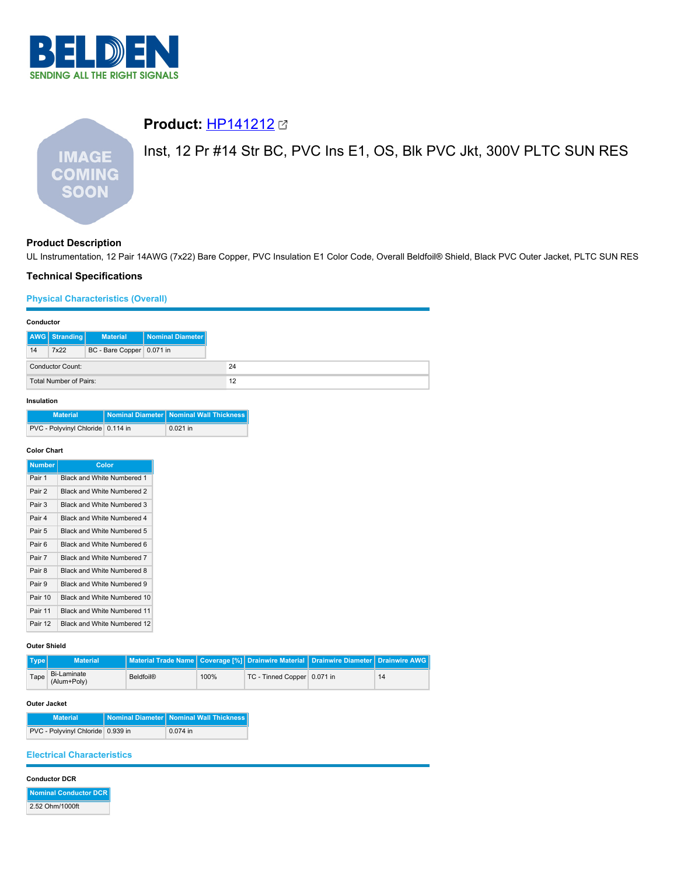

# **Product:** [HP141212](https://catalog.belden.com/index.cfm?event=pd&p=PF_HP141212&tab=downloads) Inst, 12 Pr #14 Str BC, PVC Ins E1, OS, Blk PVC Jkt, 300V PLTC SUN RES **IMAGE COMING SOON**

# **Product Description**

UL Instrumentation, 12 Pair 14AWG (7x22) Bare Copper, PVC Insulation E1 Color Code, Overall Beldfoil® Shield, Black PVC Outer Jacket, PLTC SUN RES

# **Technical Specifications**

# **Physical Characteristics (Overall)**

| Conductor               |               |                           |                  |
|-------------------------|---------------|---------------------------|------------------|
|                         | AWG Stranding | <b>Material</b>           | Nominal Diameter |
| 14                      | 7x22          | BC - Bare Copper 0.071 in |                  |
| <b>Conductor Count:</b> |               |                           |                  |
| Total Number of Pairs:  |               |                           |                  |

# **Insulation**

| <b>Material</b>                   | Nominal Diameter Nominal Wall Thickness |
|-----------------------------------|-----------------------------------------|
| PVC - Polyvinyl Chloride 0.114 in | $0.021$ in                              |

### **Color Chart**

| <b>Number</b> | Color                       |
|---------------|-----------------------------|
| Pair 1        | Black and White Numbered 1  |
| Pair 2        | Black and White Numbered 2  |
| Pair 3        | Black and White Numbered 3  |
| Pair 4        | Black and White Numbered 4  |
| Pair 5        | Black and White Numbered 5  |
| Pair 6        | Black and White Numbered 6  |
| Pair 7        | Black and White Numbered 7  |
| Pair 8        | Black and White Numbered 8  |
| Pair 9        | Black and White Numbered 9  |
| Pair 10       | Black and White Numbered 10 |
| Pair 11       | Black and White Numbered 11 |
| Pair 12       | Black and White Numbered 12 |

# **Outer Shield**

| Type | <b>Material</b>                   | Material Trade Name   Coverage [%] Drainwire Material   Drainwire Diameter   Drainwire AWG |      |                             |    |
|------|-----------------------------------|--------------------------------------------------------------------------------------------|------|-----------------------------|----|
| Tape | <b>Bi-Laminate</b><br>(Alum+Poly) | Beldfoil <sup>®</sup>                                                                      | 100% | TC - Tinned Copper 0.071 in | 14 |

# **Outer Jacket**

| <b>Material</b>                   | Nominal Diameter   Nominal Wall Thickness |
|-----------------------------------|-------------------------------------------|
| PVC - Polyvinyl Chloride 0.939 in | $0.074$ in                                |

# **Electrical Characteristics**

### **Conductor DCR**

**Nominal Conductor DCR** 2.52 Ohm/1000ft